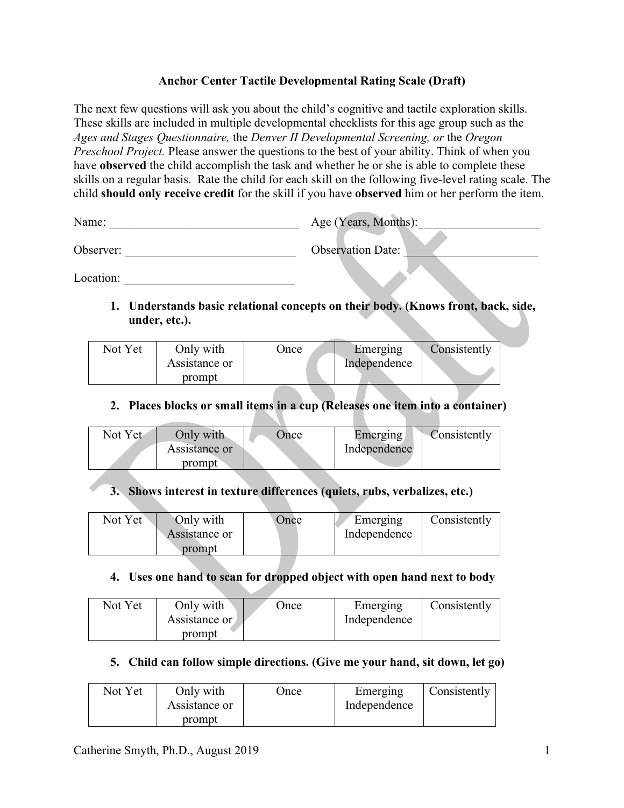#### **Anchor Center Tactile Developmental Rating Scale (Draft)**

The next few questions will ask you about the child's cognitive and tactile exploration skills. These skills are included in multiple developmental checklists for this age group such as the *Ages and Stages Questionnaire,* the *Denver II Developmental Screening, or* the *Oregon Preschool Project.* Please answer the questions to the best of your ability. Think of when you have **observed** the child accomplish the task and whether he or she is able to complete these skills on a regular basis. Rate the child for each skill on the following five-level rating scale. The child **should only receive credit** for the skill if you have **observed** him or her perform the item.

| Name:     | Age (Years, Months):     |
|-----------|--------------------------|
| Observer: | <b>Observation Date:</b> |

Location:

**1. Understands basic relational concepts on their body. (Knows front, back, side, under, etc.).** 

| Not Yet | Only with<br>Assistance or | )nce | Emerging<br>Independence | Consistently |
|---------|----------------------------|------|--------------------------|--------------|
|         | prompt                     |      |                          |              |

#### **2. Places blocks or small items in a cup (Releases one item into a container)**

| Not Yet | Only with<br>Assistance or | )nce | Emerging<br>Independence | Consistently |
|---------|----------------------------|------|--------------------------|--------------|
|         | prompt                     |      |                          |              |

## **3. Shows interest in texture differences (quiets, rubs, verbalizes, etc.)**

| Only with<br>Not Yet<br>Assistance or<br>prompt | Once | Emerging<br>Independence | Consistently |
|-------------------------------------------------|------|--------------------------|--------------|
|-------------------------------------------------|------|--------------------------|--------------|

#### **4. Uses one hand to scan for dropped object with open hand next to body**

| Assistance or<br>prompt | Not Yet | Only with | Once | Emerging<br>Independence | Consistently |
|-------------------------|---------|-----------|------|--------------------------|--------------|
|-------------------------|---------|-----------|------|--------------------------|--------------|

## **5. Child can follow simple directions. (Give me your hand, sit down, let go)**

| Not Yet | Only with<br>Assistance or | Jnce | Emerging<br>Independence | Consistently |
|---------|----------------------------|------|--------------------------|--------------|
|         | prompt                     |      |                          |              |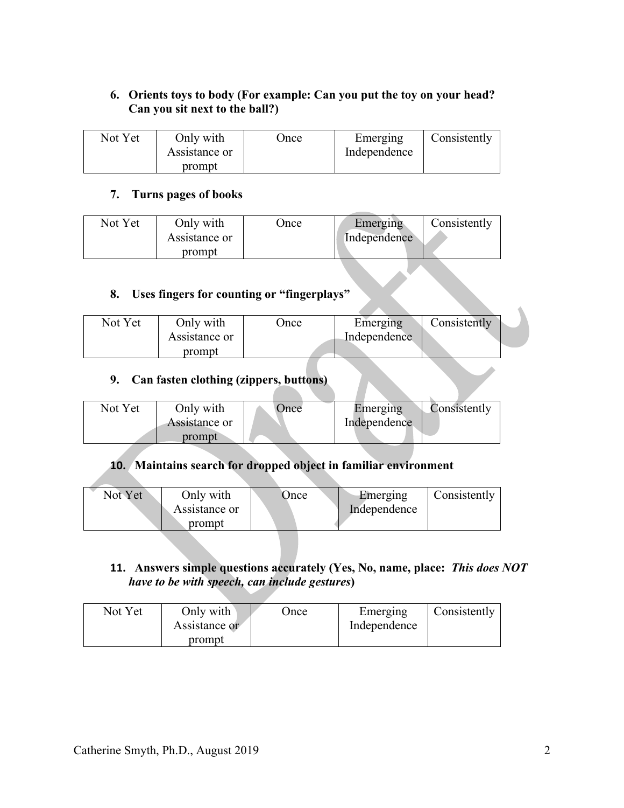## **6. Orients toys to body (For example: Can you put the toy on your head? Can you sit next to the ball?)**

| Not Yet | Only with<br>Assistance or | Once | Emerging<br>Independence | Consistently |
|---------|----------------------------|------|--------------------------|--------------|
|         | prompt                     |      |                          |              |

#### **7. Turns pages of books**

| Not Yet | Only with<br>Assistance or | Jnce | Emerging<br>Independence | Consistently |
|---------|----------------------------|------|--------------------------|--------------|
|         | prompt                     |      |                          |              |

## **8. Uses fingers for counting or "fingerplays"**

| Not Yet | Only with     | )nce | Emerging     | Consistently |  |
|---------|---------------|------|--------------|--------------|--|
|         | Assistance or |      | Independence |              |  |
|         | prompt        |      |              |              |  |

# **9. Can fasten clothing (zippers, buttons)**

| Not Yet | Only with     | Once | Emerging     | Consistently |
|---------|---------------|------|--------------|--------------|
|         | Assistance or |      | Independence |              |
|         | prompt        |      |              |              |
|         |               |      |              |              |

#### **10. Maintains search for dropped object in familiar environment**

| Not Yet | Only with<br>Assistance or | )nce | Emerging<br>Independence | Consistently |
|---------|----------------------------|------|--------------------------|--------------|
|         | prompt                     |      |                          |              |

### **11. Answers simple questions accurately (Yes, No, name, place:** *This does NOT have to be with speech, can include gestures***)**

| Not Yet | Only with<br>Assistance or | Once | Emerging<br>Independence | Consistently |
|---------|----------------------------|------|--------------------------|--------------|
|         | prompt                     |      |                          |              |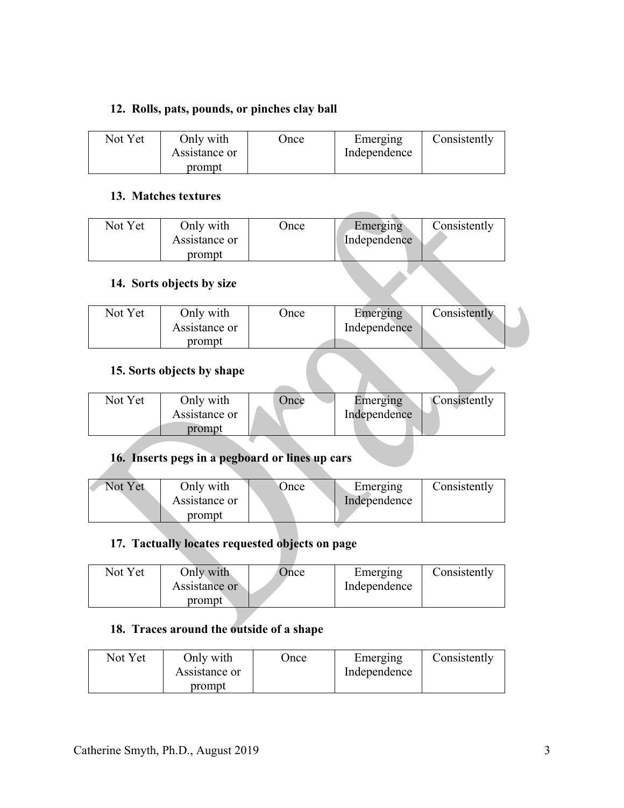#### **12. Rolls, pats, pounds, or pinches clay ball**

| Not Yet | Only with<br>Assistance or | Jnce | Emerging<br>Independence | Consistently |
|---------|----------------------------|------|--------------------------|--------------|
|         | prompt                     |      |                          |              |

#### **13. Matches textures**

| Not Yet | Only with<br>Assistance or | Jnce | Emerging<br>Independence | Consistently |
|---------|----------------------------|------|--------------------------|--------------|
|         | prompt                     |      |                          |              |

#### **14. Sorts objects by size**

| Not Yet | Only with     | Once | Emerging     | Consistently |
|---------|---------------|------|--------------|--------------|
|         | Assistance or |      | Independence |              |
|         | prompt        |      |              |              |

## **15. Sorts objects by shape**

| Not Yet | Only with<br>Assistance or | <b>Dnce</b> | Emerging<br>Independence | Consistently |
|---------|----------------------------|-------------|--------------------------|--------------|
|         | prompt                     |             |                          |              |

## **16. Inserts pegs in a pegboard or lines up cars**

| Not Yet | Only with<br>Assistance or | <b>Dnce</b> | Emerging<br>Independence | Consistently |
|---------|----------------------------|-------------|--------------------------|--------------|
|         | prompt                     |             |                          |              |

## **17. Tactually locates requested objects on page**

| Not Yet | Only with<br>Assistance or | Once | Emerging<br>Independence | Consistently |
|---------|----------------------------|------|--------------------------|--------------|
|         | prompt                     |      |                          |              |

## **18. Traces around the outside of a shape**

| Not Yet | Only with<br>Assistance or | <b>Jnce</b> | Emerging<br>Independence | Consistently |
|---------|----------------------------|-------------|--------------------------|--------------|
|         | prompt                     |             |                          |              |